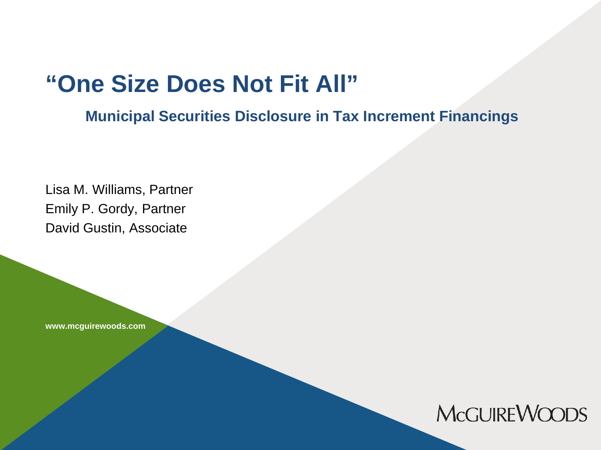## **"One Size Does Not Fit All"**

**Municipal Securities Disclosure in Tax Increment Financings**

Lisa M. Williams, Partner Emily P. Gordy, Partner David Gustin, Associate

**www.mcguirewoods.com**

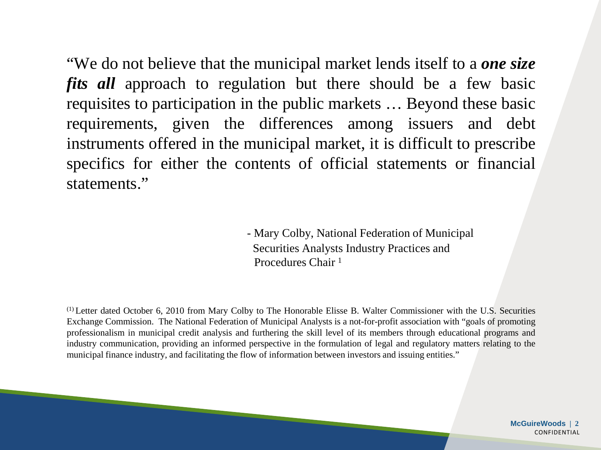"We do not believe that the municipal market lends itself to a *one size fits all* approach to regulation but there should be a few basic requisites to participation in the public markets … Beyond these basic requirements, given the differences among issuers and debt instruments offered in the municipal market, it is difficult to prescribe specifics for either the contents of official statements or financial statements."

> - Mary Colby, National Federation of Municipal Securities Analysts Industry Practices and Procedures Chair <sup>1</sup>

(1) Letter dated October 6, 2010 from Mary Colby to The Honorable Elisse B. Walter Commissioner with the U.S. Securities Exchange Commission. The National Federation of Municipal Analysts is a not-for-profit association with "goals of promoting professionalism in municipal credit analysis and furthering the skill level of its members through educational programs and industry communication, providing an informed perspective in the formulation of legal and regulatory matters relating to the municipal finance industry, and facilitating the flow of information between investors and issuing entities."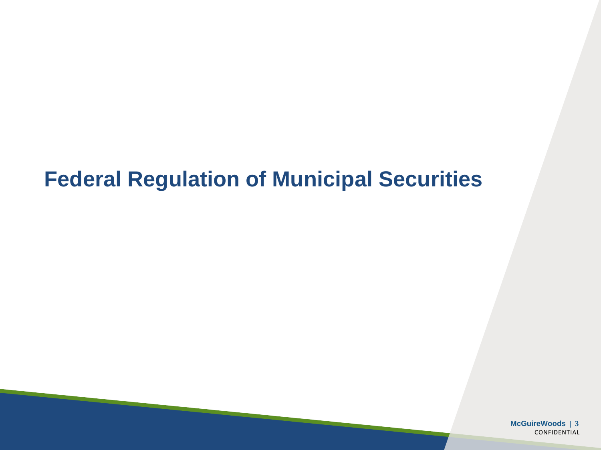#### **Federal Regulation of Municipal Securities**

**McGuireWoods | 3** CONFIDENTIAL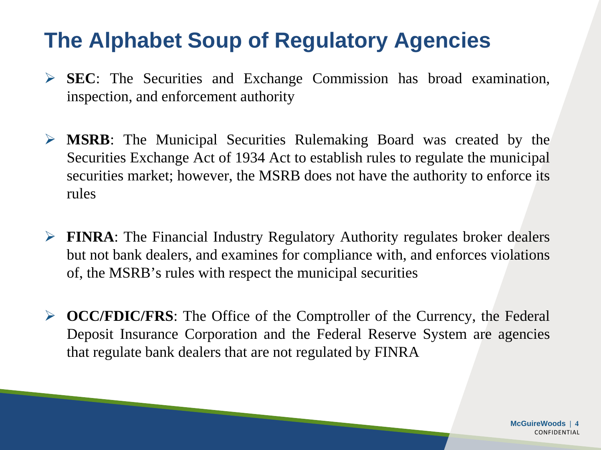## **The Alphabet Soup of Regulatory Agencies**

- **SEC**: The Securities and Exchange Commission has broad examination, inspection, and enforcement authority
- **MSRB**: The Municipal Securities Rulemaking Board was created by the Securities Exchange Act of 1934 Act to establish rules to regulate the municipal securities market; however, the MSRB does not have the authority to enforce its rules
- **FINRA**: The Financial Industry Regulatory Authority regulates broker dealers but not bank dealers, and examines for compliance with, and enforces violations of, the MSRB's rules with respect the municipal securities
- **DCC/FDIC/FRS:** The Office of the Comptroller of the Currency, the Federal Deposit Insurance Corporation and the Federal Reserve System are agencies that regulate bank dealers that are not regulated by FINRA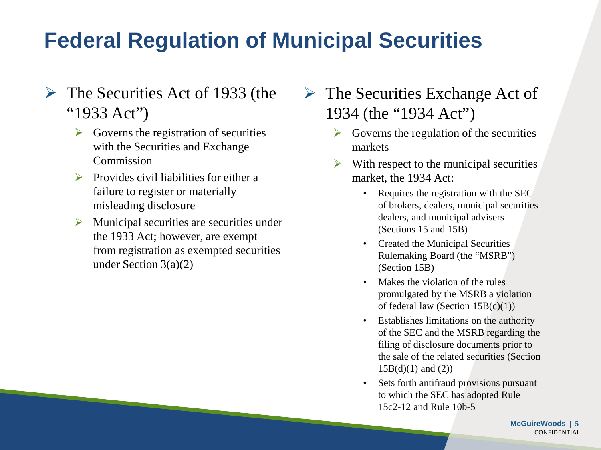# **Federal Regulation of Municipal Securities**

- $\triangleright$  The Securities Act of 1933 (the "1933 Act")
	- $\triangleright$  Governs the registration of securities with the Securities and Exchange **Commission**
	- $\triangleright$  Provides civil liabilities for either a failure to register or materially misleading disclosure
	- $\triangleright$  Municipal securities are securities under the 1933 Act; however, are exempt from registration as exempted securities under Section 3(a)(2)
- $\triangleright$  The Securities Exchange Act of 1934 (the "1934 Act")
	- $\triangleright$  Governs the regulation of the securities markets
	- With respect to the municipal securities market, the 1934 Act:
		- Requires the registration with the SEC of brokers, dealers, municipal securities dealers, and municipal advisers (Sections 15 and 15B)
		- Created the Municipal Securities Rulemaking Board (the "MSRB") (Section 15B)
		- Makes the violation of the rules promulgated by the MSRB a violation of federal law (Section  $15B(c)(1)$ )
		- Establishes limitations on the authority of the SEC and the MSRB regarding the filing of disclosure documents prior to the sale of the related securities (Section  $15B(d)(1)$  and  $(2)$ )
		- Sets forth antifraud provisions pursuant to which the SEC has adopted Rule 15c2-12 and Rule 10b-5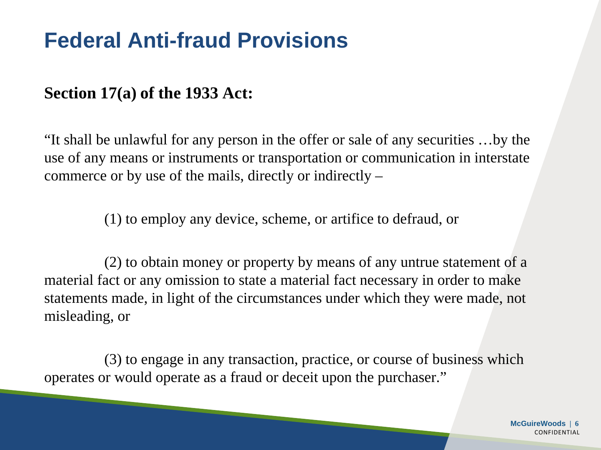#### **Section 17(a) of the 1933 Act:**

"It shall be unlawful for any person in the offer or sale of any securities …by the use of any means or instruments or transportation or communication in interstate commerce or by use of the mails, directly or indirectly –

(1) to employ any device, scheme, or artifice to defraud, or

(2) to obtain money or property by means of any untrue statement of a material fact or any omission to state a material fact necessary in order to make statements made, in light of the circumstances under which they were made, not misleading, or

(3) to engage in any transaction, practice, or course of business which operates or would operate as a fraud or deceit upon the purchaser."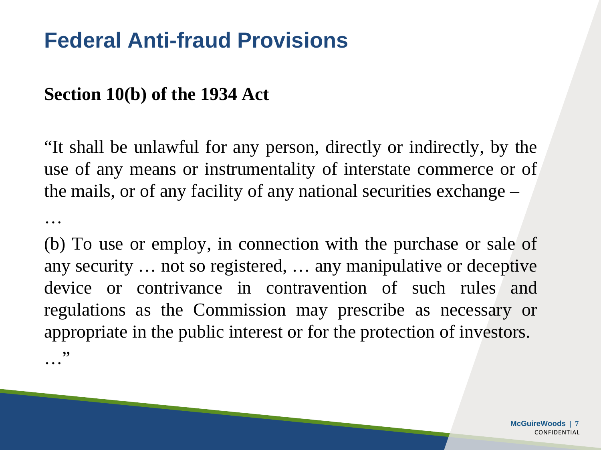#### **Section 10(b) of the 1934 Act**

…

"It shall be unlawful for any person, directly or indirectly, by the use of any means or instrumentality of interstate commerce or of the mails, or of any facility of any national securities exchange –

(b) To use or employ, in connection with the purchase or sale of any security … not so registered, … any manipulative or deceptive device or contrivance in contravention of such rules and regulations as the Commission may prescribe as necessary or appropriate in the public interest or for the protection of investors. …"

> **McGuireWoods | 7 CONFIDENTIAL**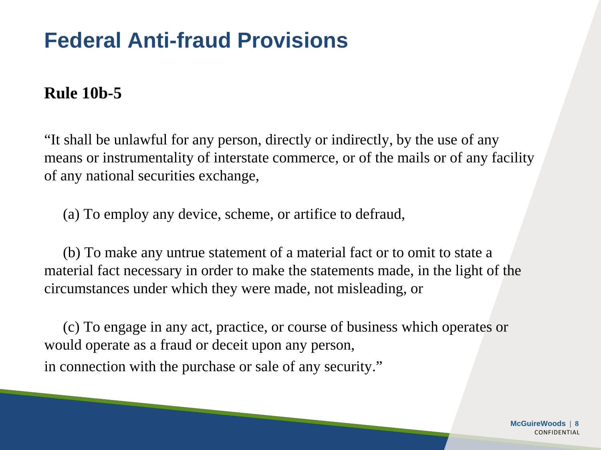#### **Rule 10b-5**

"It shall be unlawful for any person, directly or indirectly, by the use of any means or instrumentality of interstate commerce, or of the mails or of any facility of any national securities exchange,

(a) To employ any device, scheme, or artifice to defraud,

(b) To make any untrue statement of a material fact or to omit to state a material fact necessary in order to make the statements made, in the light of the circumstances under which they were made, not misleading, or

(c) To engage in any act, practice, or course of business which operates or would operate as a fraud or deceit upon any person, in connection with the purchase or sale of any security."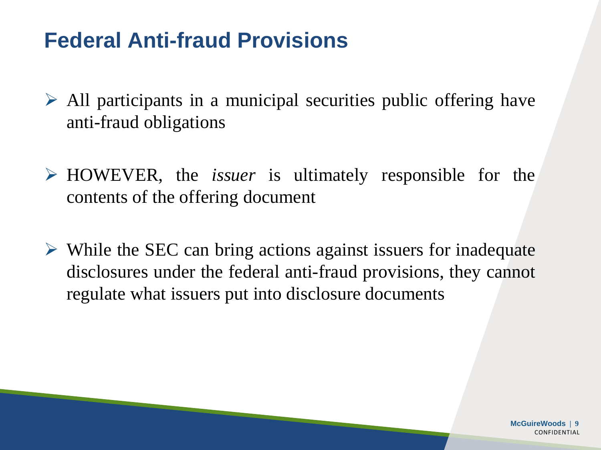- $\triangleright$  All participants in a municipal securities public offering have anti-fraud obligations
- HOWEVER, the *issuer* is ultimately responsible for the contents of the offering document
- $\triangleright$  While the SEC can bring actions against issuers for inadequate disclosures under the federal anti-fraud provisions, they cannot regulate what issuers put into disclosure documents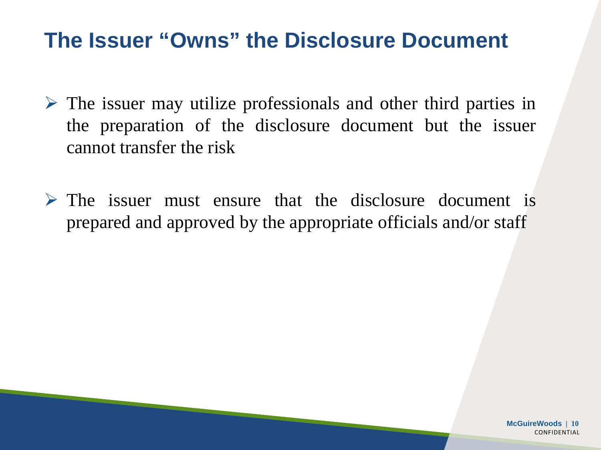#### **The Issuer "Owns" the Disclosure Document**

- $\triangleright$  The issuer may utilize professionals and other third parties in the preparation of the disclosure document but the issuer cannot transfer the risk
- $\triangleright$  The issuer must ensure that the disclosure document is prepared and approved by the appropriate officials and/or staff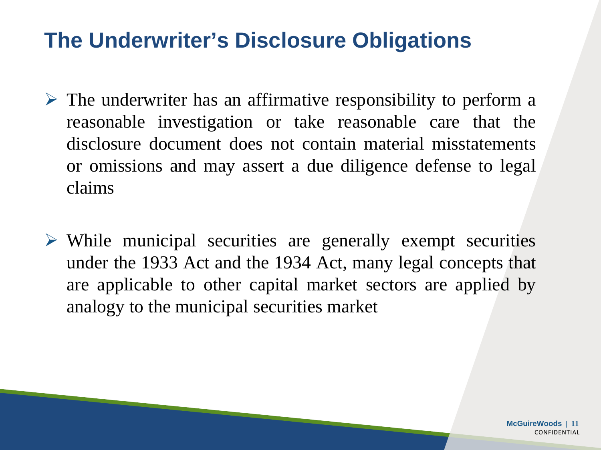#### **The Underwriter's Disclosure Obligations**

- $\triangleright$  The underwriter has an affirmative responsibility to perform a reasonable investigation or take reasonable care that the disclosure document does not contain material misstatements or omissions and may assert a due diligence defense to legal claims
- $\triangleright$  While municipal securities are generally exempt securities under the 1933 Act and the 1934 Act, many legal concepts that are applicable to other capital market sectors are applied by analogy to the municipal securities market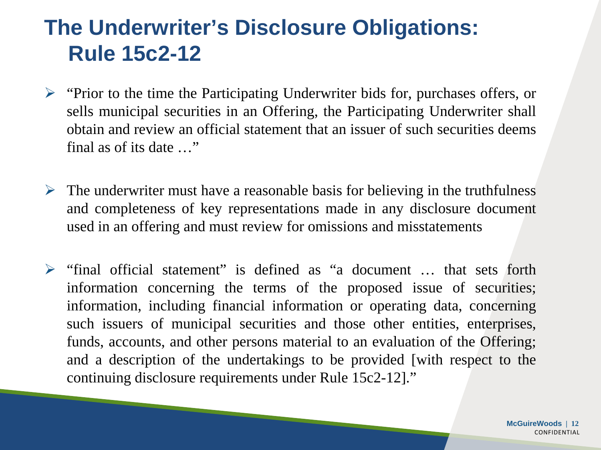## **The Underwriter's Disclosure Obligations: Rule 15c2-12**

- $\triangleright$  "Prior to the time the Participating Underwriter bids for, purchases offers, or sells municipal securities in an Offering, the Participating Underwriter shall obtain and review an official statement that an issuer of such securities deems final as of its date …"
- $\triangleright$  The underwriter must have a reasonable basis for believing in the truthfulness and completeness of key representations made in any disclosure document used in an offering and must review for omissions and misstatements
- $\triangleright$  "final official statement" is defined as "a document ... that sets forth information concerning the terms of the proposed issue of securities; information, including financial information or operating data, concerning such issuers of municipal securities and those other entities, enterprises, funds, accounts, and other persons material to an evaluation of the Offering; and a description of the undertakings to be provided [with respect to the continuing disclosure requirements under Rule 15c2-12]."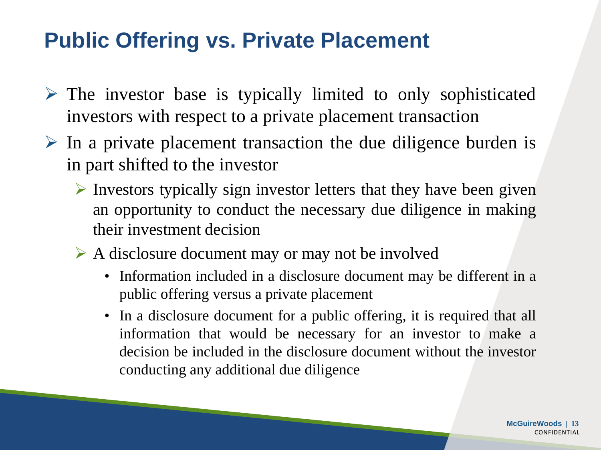## **Public Offering vs. Private Placement**

- $\triangleright$  The investor base is typically limited to only sophisticated investors with respect to a private placement transaction
- $\triangleright$  In a private placement transaction the due diligence burden is in part shifted to the investor
	- $\triangleright$  Investors typically sign investor letters that they have been given an opportunity to conduct the necessary due diligence in making their investment decision
	- $\triangleright$  A disclosure document may or may not be involved
		- Information included in a disclosure document may be different in a public offering versus a private placement
		- In a disclosure document for a public offering, it is required that all information that would be necessary for an investor to make a decision be included in the disclosure document without the investor conducting any additional due diligence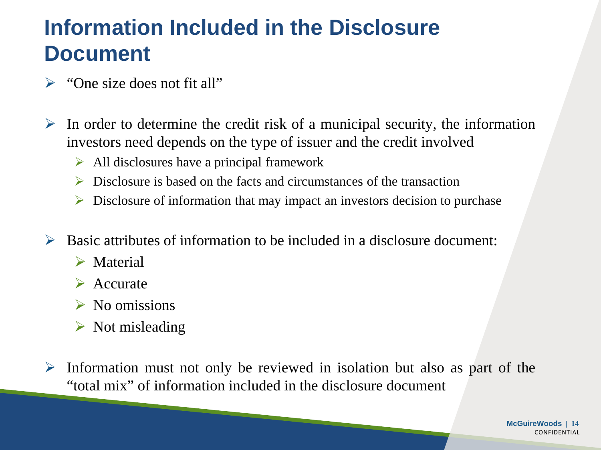#### **Information Included in the Disclosure Document**

- $\triangleright$  "One size does not fit all"
- $\triangleright$  In order to determine the credit risk of a municipal security, the information investors need depends on the type of issuer and the credit involved
	- $\triangleright$  All disclosures have a principal framework
	- $\triangleright$  Disclosure is based on the facts and circumstances of the transaction
	- $\triangleright$  Disclosure of information that may impact an investors decision to purchase
- $\triangleright$  Basic attributes of information to be included in a disclosure document:
	- **► Material**
	- $\triangleright$  Accurate
	- $\triangleright$  No omissions
	- $\triangleright$  Not misleading
- $\triangleright$  Information must not only be reviewed in isolation but also as part of the "total mix" of information included in the disclosure document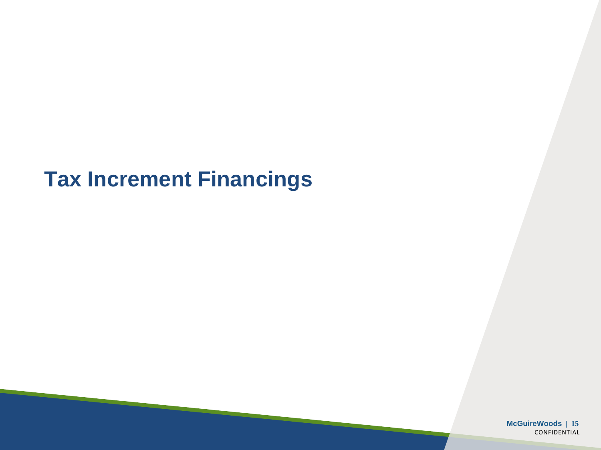### **Tax Increment Financings**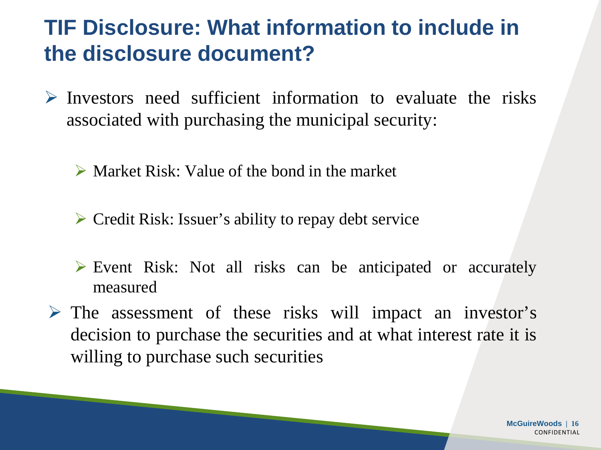### **TIF Disclosure: What information to include in the disclosure document?**

- $\triangleright$  Investors need sufficient information to evaluate the risks associated with purchasing the municipal security:
	- $\triangleright$  Market Risk: Value of the bond in the market
	- Credit Risk: Issuer's ability to repay debt service
	- Event Risk: Not all risks can be anticipated or accurately measured
- $\triangleright$  The assessment of these risks will impact an investor's decision to purchase the securities and at what interest rate it is willing to purchase such securities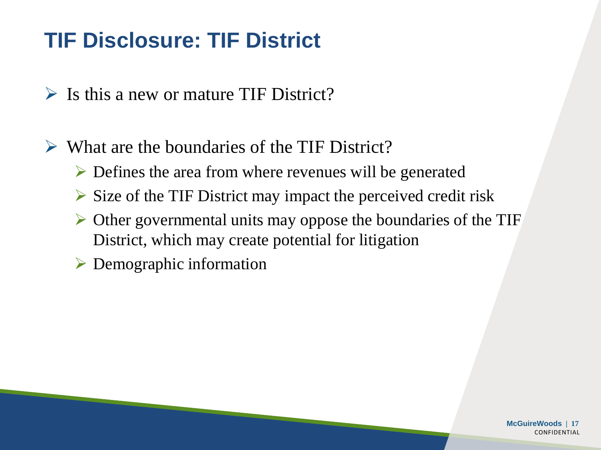# **TIF Disclosure: TIF District**

- $\triangleright$  Is this a new or mature TIF District?
- $\triangleright$  What are the boundaries of the TIF District?
	- Defines the area from where revenues will be generated
	- $\triangleright$  Size of the TIF District may impact the perceived credit risk
	- $\triangleright$  Other governmental units may oppose the boundaries of the TIF District, which may create potential for litigation
	- $\triangleright$  Demographic information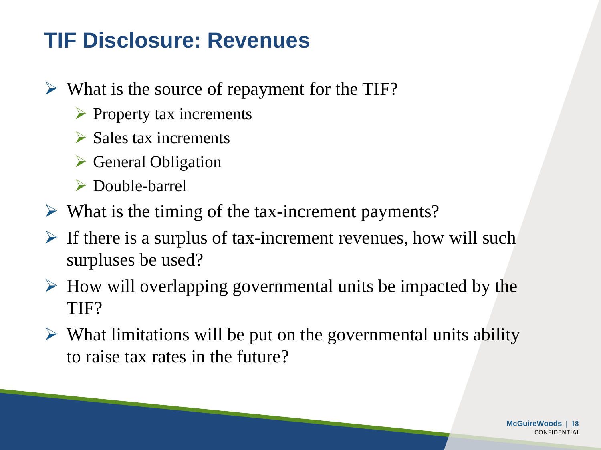## **TIF Disclosure: Revenues**

- $\triangleright$  What is the source of repayment for the TIF?
	- $\triangleright$  Property tax increments
	- $\triangleright$  Sales tax increments
	- $\triangleright$  General Obligation
	- Double-barrel
- $\triangleright$  What is the timing of the tax-increment payments?
- $\triangleright$  If there is a surplus of tax-increment revenues, how will such surpluses be used?
- $\triangleright$  How will overlapping governmental units be impacted by the TIF?
- $\triangleright$  What limitations will be put on the governmental units ability to raise tax rates in the future?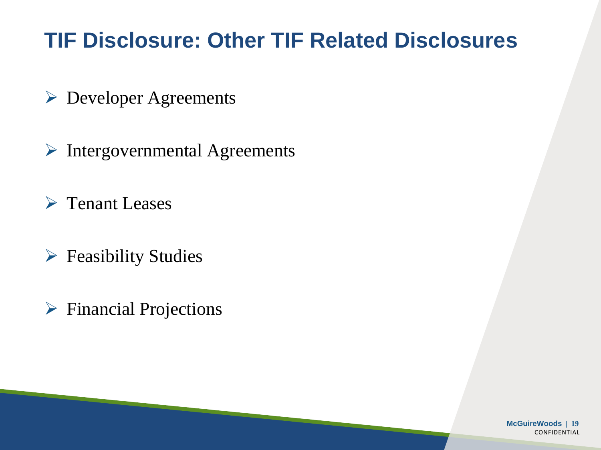## **TIF Disclosure: Other TIF Related Disclosures**

- Developer Agreements
- $\triangleright$  Intergovernmental Agreements
- **► Tenant Leases**
- $\triangleright$  Feasibility Studies
- $\triangleright$  Financial Projections

**McGuireWoods | 19 CONFIDENTIAL**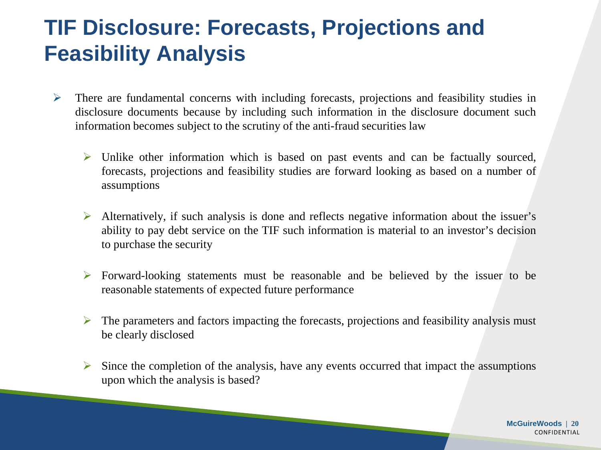## **TIF Disclosure: Forecasts, Projections and Feasibility Analysis**

- $\triangleright$  There are fundamental concerns with including forecasts, projections and feasibility studies in disclosure documents because by including such information in the disclosure document such information becomes subject to the scrutiny of the anti-fraud securities law
	- $\triangleright$  Unlike other information which is based on past events and can be factually sourced, forecasts, projections and feasibility studies are forward looking as based on a number of assumptions
	- Alternatively, if such analysis is done and reflects negative information about the issuer's ability to pay debt service on the TIF such information is material to an investor's decision to purchase the security
	- Forward-looking statements must be reasonable and be believed by the issuer to be reasonable statements of expected future performance
	- $\triangleright$  The parameters and factors impacting the forecasts, projections and feasibility analysis must be clearly disclosed
	- $\triangleright$  Since the completion of the analysis, have any events occurred that impact the assumptions upon which the analysis is based?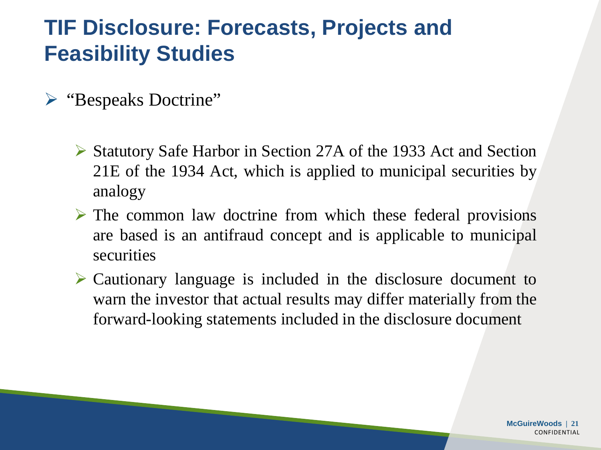### **TIF Disclosure: Forecasts, Projects and Feasibility Studies**

- "Bespeaks Doctrine"
	- Statutory Safe Harbor in Section 27A of the 1933 Act and Section 21E of the 1934 Act, which is applied to municipal securities by analogy
	- $\triangleright$  The common law doctrine from which these federal provisions are based is an antifraud concept and is applicable to municipal securities
	- Cautionary language is included in the disclosure document to warn the investor that actual results may differ materially from the forward-looking statements included in the disclosure document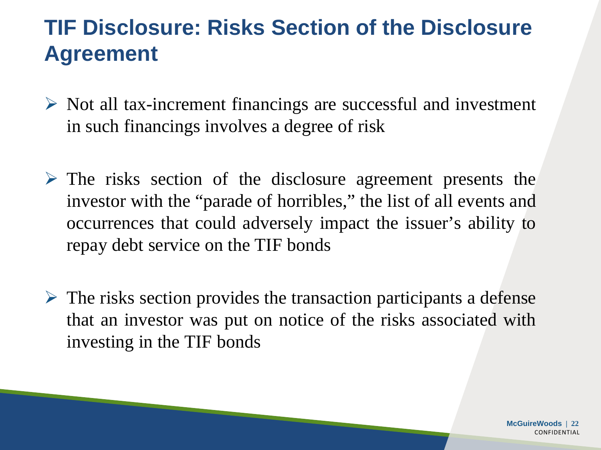### **TIF Disclosure: Risks Section of the Disclosure Agreement**

- $\triangleright$  Not all tax-increment financings are successful and investment in such financings involves a degree of risk
- $\triangleright$  The risks section of the disclosure agreement presents the investor with the "parade of horribles," the list of all events and occurrences that could adversely impact the issuer's ability to repay debt service on the TIF bonds
- $\triangleright$  The risks section provides the transaction participants a defense that an investor was put on notice of the risks associated with investing in the TIF bonds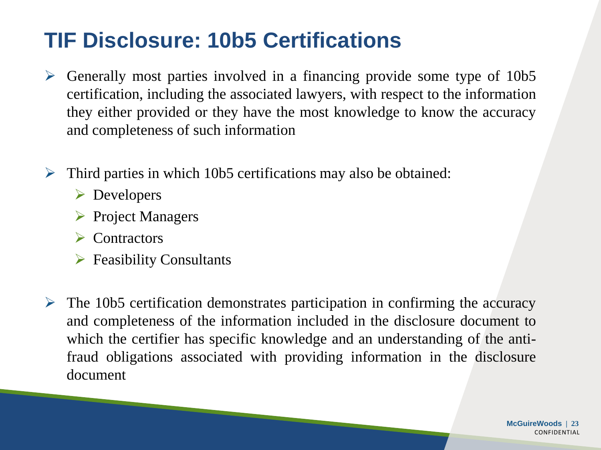## **TIF Disclosure: 10b5 Certifications**

- $\triangleright$  Generally most parties involved in a financing provide some type of 10b5 certification, including the associated lawyers, with respect to the information they either provided or they have the most knowledge to know the accuracy and completeness of such information
- $\triangleright$  Third parties in which 10b5 certifications may also be obtained:
	- **►** Developers
	- $\triangleright$  Project Managers
	- Contractors
	- $\triangleright$  Feasibility Consultants
- $\triangleright$  The 10b5 certification demonstrates participation in confirming the accuracy and completeness of the information included in the disclosure document to which the certifier has specific knowledge and an understanding of the antifraud obligations associated with providing information in the disclosure document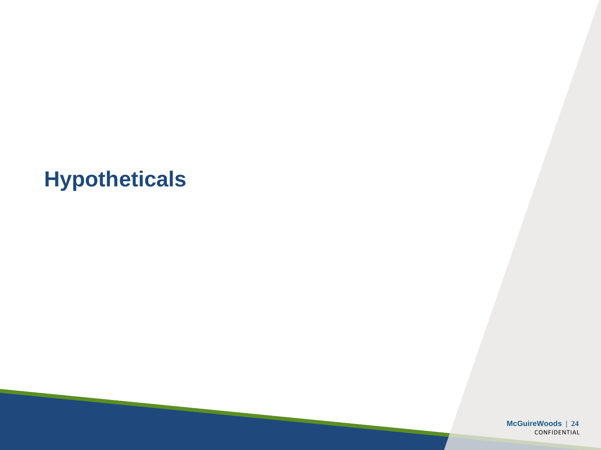### **Hypotheticals**

**McGuireWoods | 24** CONFIDENTIAL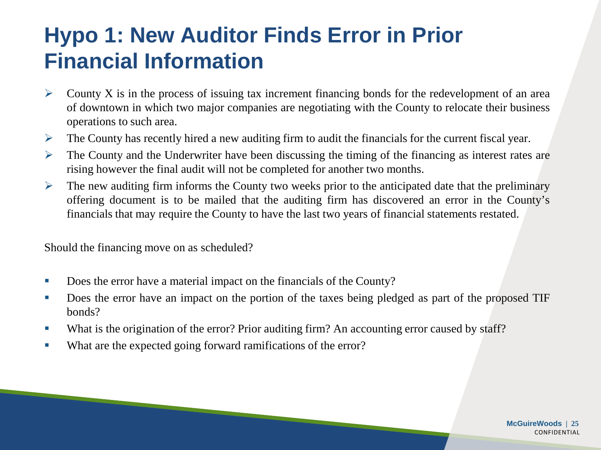## **Hypo 1: New Auditor Finds Error in Prior Financial Information**

- $\triangleright$  County X is in the process of issuing tax increment financing bonds for the redevelopment of an area of downtown in which two major companies are negotiating with the County to relocate their business operations to such area.
- $\triangleright$  The County has recently hired a new auditing firm to audit the financials for the current fiscal year.
- $\triangleright$  The County and the Underwriter have been discussing the timing of the financing as interest rates are rising however the final audit will not be completed for another two months.
- $\triangleright$  The new auditing firm informs the County two weeks prior to the anticipated date that the preliminary offering document is to be mailed that the auditing firm has discovered an error in the County's financials that may require the County to have the last two years of financial statements restated.

Should the financing move on as scheduled?

- Does the error have a material impact on the financials of the County?
- Does the error have an impact on the portion of the taxes being pledged as part of the proposed TIF bonds?
- What is the origination of the error? Prior auditing firm? An accounting error caused by staff?
- What are the expected going forward ramifications of the error?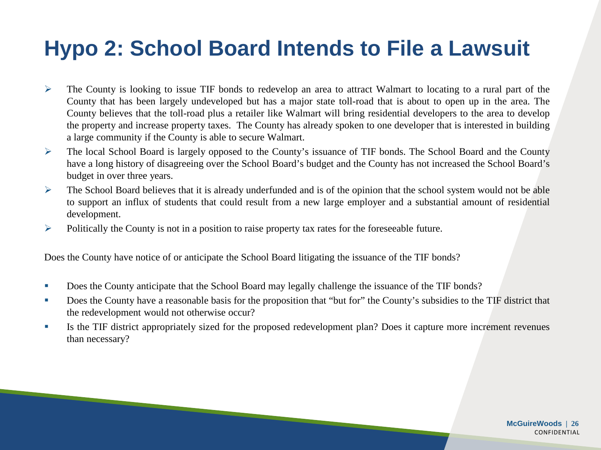## **Hypo 2: School Board Intends to File a Lawsuit**

- $\triangleright$  The County is looking to issue TIF bonds to redevelop an area to attract Walmart to locating to a rural part of the County that has been largely undeveloped but has a major state toll-road that is about to open up in the area. The County believes that the toll-road plus a retailer like Walmart will bring residential developers to the area to develop the property and increase property taxes. The County has already spoken to one developer that is interested in building a large community if the County is able to secure Walmart.
- The local School Board is largely opposed to the County's issuance of TIF bonds. The School Board and the County have a long history of disagreeing over the School Board's budget and the County has not increased the School Board's budget in over three years.
- $\triangleright$  The School Board believes that it is already underfunded and is of the opinion that the school system would not be able to support an influx of students that could result from a new large employer and a substantial amount of residential development.
- Politically the County is not in a position to raise property tax rates for the foreseeable future.

Does the County have notice of or anticipate the School Board litigating the issuance of the TIF bonds?

- Does the County anticipate that the School Board may legally challenge the issuance of the TIF bonds?
- Does the County have a reasonable basis for the proposition that "but for" the County's subsidies to the TIF district that the redevelopment would not otherwise occur?
- Is the TIF district appropriately sized for the proposed redevelopment plan? Does it capture more increment revenues than necessary?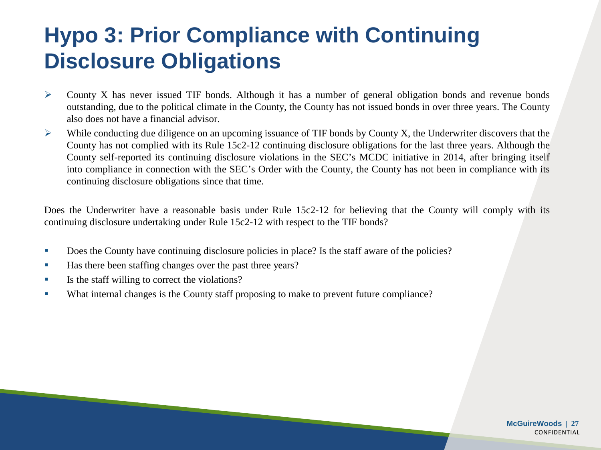## **Hypo 3: Prior Compliance with Continuing Disclosure Obligations**

- $\triangleright$  County X has never issued TIF bonds. Although it has a number of general obligation bonds and revenue bonds outstanding, due to the political climate in the County, the County has not issued bonds in over three years. The County also does not have a financial advisor.
- $\triangleright$  While conducting due diligence on an upcoming issuance of TIF bonds by County X, the Underwriter discovers that the County has not complied with its Rule 15c2-12 continuing disclosure obligations for the last three years. Although the County self-reported its continuing disclosure violations in the SEC's MCDC initiative in 2014, after bringing itself into compliance in connection with the SEC's Order with the County, the County has not been in compliance with its continuing disclosure obligations since that time.

Does the Underwriter have a reasonable basis under Rule 15c2-12 for believing that the County will comply with its continuing disclosure undertaking under Rule 15c2-12 with respect to the TIF bonds?

- Does the County have continuing disclosure policies in place? Is the staff aware of the policies?
- Has there been staffing changes over the past three years?
- Is the staff willing to correct the violations?
- What internal changes is the County staff proposing to make to prevent future compliance?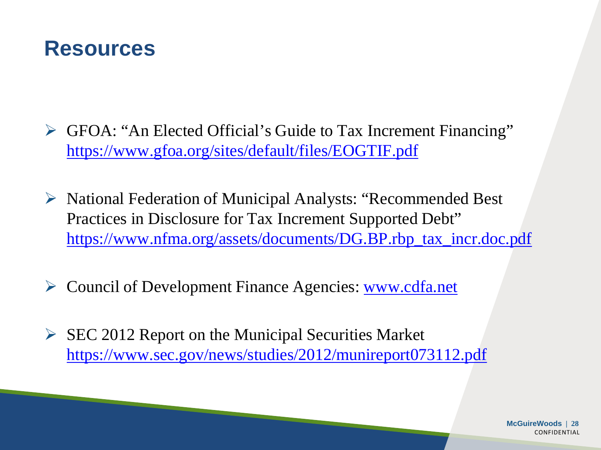#### **Resources**

- GFOA: "An Elected Official's Guide to Tax Increment Financing" <https://www.gfoa.org/sites/default/files/EOGTIF.pdf>
- $\triangleright$  National Federation of Municipal Analysts: "Recommended Best" Practices in Disclosure for Tax Increment Supported Debt" [https://www.nfma.org/assets/documents/DG.BP.rbp\\_tax\\_incr.doc.pdf](https://www.nfma.org/assets/documents/DG.BP.rbp_tax_incr.doc.pdf)
- ► Council of Development Finance Agencies: [www.cdfa.net](http://www.cdfa.net/)
- $\triangleright$  SEC 2012 Report on the Municipal Securities Market <https://www.sec.gov/news/studies/2012/munireport073112.pdf>

**McGuireWoods | 28 CONFIDENTIAL**